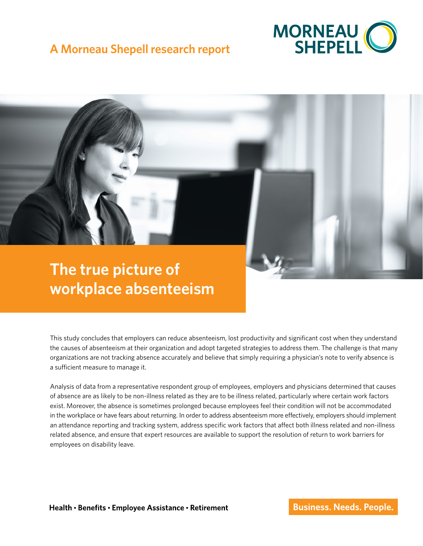

# **A Morneau Shepell research report**

# **The true picture of workplace absenteeism**

This study concludes that employers can reduce absenteeism, lost productivity and significant cost when they understand the causes of absenteeism at their organization and adopt targeted strategies to address them. The challenge is that many organizations are not tracking absence accurately and believe that simply requiring a physician's note to verify absence is a sufficient measure to manage it.

Analysis of data from a representative respondent group of employees, employers and physicians determined that causes of absence are as likely to be non-illness related as they are to be illness related, particularly where certain work factors exist. Moreover, the absence is sometimes prolonged because employees feel their condition will not be accommodated in the workplace or have fears about returning. In order to address absenteeism more effectively, employers should implement an attendance reporting and tracking system, address specific work factors that affect both illness related and non-illness related absence, and ensure that expert resources are available to support the resolution of return to work barriers for employees on disability leave.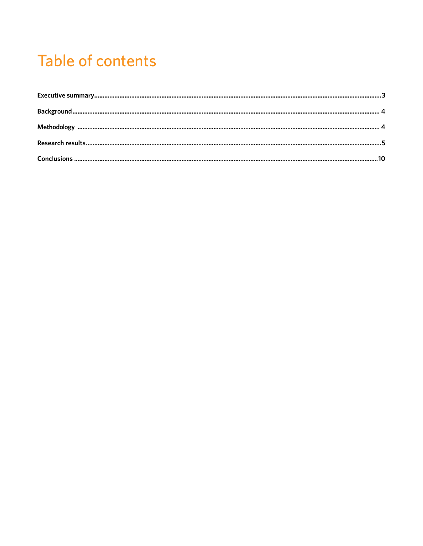# **Table of contents**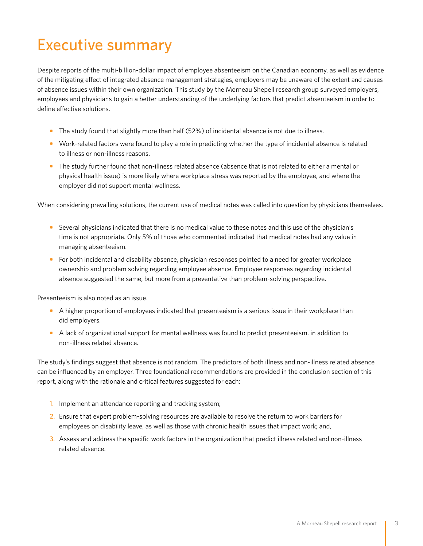# <span id="page-2-0"></span>Executive summary

Despite reports of the multi-billion-dollar impact of employee absenteeism on the Canadian economy, as well as evidence of the mitigating effect of integrated absence management strategies, employers may be unaware of the extent and causes of absence issues within their own organization. This study by the Morneau Shepell research group surveyed employers, employees and physicians to gain a better understanding of the underlying factors that predict absenteeism in order to define effective solutions.

- **•** The study found that slightly more than half (52%) of incidental absence is not due to illness.
- **•** Work-related factors were found to play a role in predicting whether the type of incidental absence is related to illness or non-illness reasons.
- **•** The study further found that non-illness related absence (absence that is not related to either a mental or physical health issue) is more likely where workplace stress was reported by the employee, and where the employer did not support mental wellness.

When considering prevailing solutions, the current use of medical notes was called into question by physicians themselves.

- **•** Several physicians indicated that there is no medical value to these notes and this use of the physician's time is not appropriate. Only 5% of those who commented indicated that medical notes had any value in managing absenteeism.
- For both incidental and disability absence, physician responses pointed to a need for greater workplace ownership and problem solving regarding employee absence. Employee responses regarding incidental absence suggested the same, but more from a preventative than problem-solving perspective.

Presenteeism is also noted as an issue.

- **•** A higher proportion of employees indicated that presenteeism is a serious issue in their workplace than did employers.
- **•** A lack of organizational support for mental wellness was found to predict presenteeism, in addition to non-illness related absence.

The study's findings suggest that absence is not random. The predictors of both illness and non-illness related absence can be influenced by an employer. Three foundational recommendations are provided in the conclusion section of this report, along with the rationale and critical features suggested for each:

- 1. Implement an attendance reporting and tracking system;
- 2. Ensure that expert problem-solving resources are available to resolve the return to work barriers for employees on disability leave, as well as those with chronic health issues that impact work; and,
- 3. Assess and address the specific work factors in the organization that predict illness related and non-illness related absence.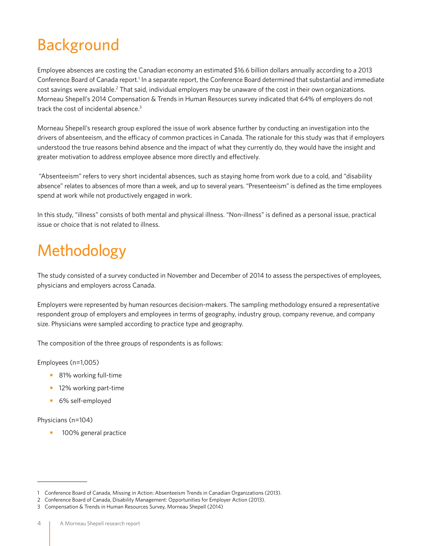# <span id="page-3-0"></span>Background

Employee absences are costing the Canadian economy an estimated \$16.6 billion dollars annually according to a 2013 Conference Board of Canada report.<sup>1</sup> In a separate report, the Conference Board determined that substantial and immediate cost savings were available.<sup>2</sup> That said, individual employers may be unaware of the cost in their own organizations. Morneau Shepell's 2014 Compensation & Trends in Human Resources survey indicated that 64% of employers do not track the cost of incidental absence.3

Morneau Shepell's research group explored the issue of work absence further by conducting an investigation into the drivers of absenteeism, and the efficacy of common practices in Canada. The rationale for this study was that if employers understood the true reasons behind absence and the impact of what they currently do, they would have the insight and greater motivation to address employee absence more directly and effectively.

 "Absenteeism" refers to very short incidental absences, such as staying home from work due to a cold, and "disability absence" relates to absences of more than a week, and up to several years. "Presenteeism" is defined as the time employees spend at work while not productively engaged in work.

In this study, "illness" consists of both mental and physical illness. "Non-illness" is defined as a personal issue, practical issue or choice that is not related to illness.

# Methodology

The study consisted of a survey conducted in November and December of 2014 to assess the perspectives of employees, physicians and employers across Canada.

Employers were represented by human resources decision-makers. The sampling methodology ensured a representative respondent group of employers and employees in terms of geography, industry group, company revenue, and company size. Physicians were sampled according to practice type and geography.

The composition of the three groups of respondents is as follows:

Employees (n=1,005)

- **•** 81% working full-time
- **•** 12% working part-time
- **•** 6% self-employed

### Physicians (n=104)

**•** 100% general practice

<sup>1</sup> Conference Board of Canada, Missing in Action: Absenteeism Trends in Canadian Organizations (2013).

<sup>2</sup> Conference Board of Canada, Disability Management: Opportunities for Employer Action (2013).

<sup>3</sup> Compensation & Trends in Human Resources Survey, Morneau Shepell (2014)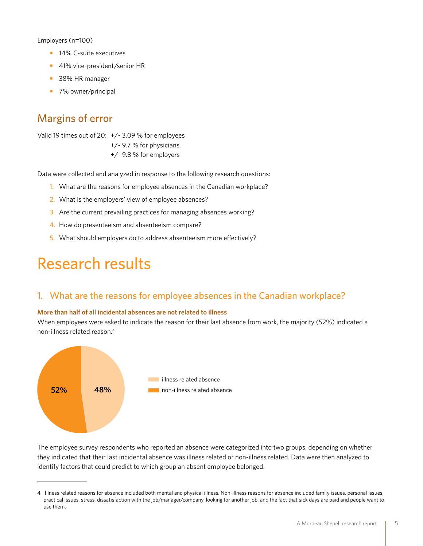<span id="page-4-0"></span>Employers (n=100)

- **•** 14% C-suite executives
- **•** 41% vice-president/senior HR
- **•** 38% HR manager
- **•** 7% owner/principal

# Margins of error

Valid 19 times out of 20: +/- 3.09 % for employees

+/- 9.7 % for physicians

+/- 9.8 % for employers

Data were collected and analyzed in response to the following research questions:

- 1. What are the reasons for employee absences in the Canadian workplace?
- 2. What is the employers' view of employee absences?
- 3. Are the current prevailing practices for managing absences working?
- 4. How do presenteeism and absenteeism compare?
- 5. What should employers do to address absenteeism more effectively?

# Research results

# 1. What are the reasons for employee absences in the Canadian workplace?

#### **More than half of all incidental absences are not related to illness**

When employees were asked to indicate the reason for their last absence from work, the majority (52%) indicated a non-illness related reason.4



The employee survey respondents who reported an absence were categorized into two groups, depending on whether they indicated that their last incidental absence was illness related or non-illness related. Data were then analyzed to identify factors that could predict to which group an absent employee belonged.

<sup>4</sup> Illness related reasons for absence included both mental and physical illness. Non-illness reasons for absence included family issues, personal issues, practical issues, stress, dissatisfaction with the job/manager/company, looking for another job, and the fact that sick days are paid and people want to use them.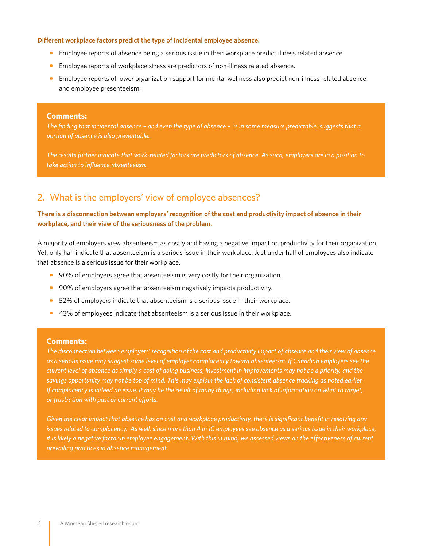#### **Different workplace factors predict the type of incidental employee absence.**

- **•** Employee reports of absence being a serious issue in their workplace predict illness related absence.
- **•** Employee reports of workplace stress are predictors of non-illness related absence.
- **•** Employee reports of lower organization support for mental wellness also predict non-illness related absence and employee presenteeism.

#### **Comments:**

*The finding that incidental absence – and even the type of absence – is in some measure predictable, suggests that a portion of absence is also preventable.* 

*The results further indicate that work-related factors are predictors of absence. As such, employers are in a position to take action to influence absenteeism.* 

# 2. What is the employers' view of employee absences?

## **There is a disconnection between employers' recognition of the cost and productivity impact of absence in their workplace, and their view of the seriousness of the problem.**

A majority of employers view absenteeism as costly and having a negative impact on productivity for their organization. Yet, only half indicate that absenteeism is a serious issue in their workplace. Just under half of employees also indicate that absence is a serious issue for their workplace.

- **•** 90% of employers agree that absenteeism is very costly for their organization.
- **•** 90% of employers agree that absenteeism negatively impacts productivity.
- **•** 52% of employers indicate that absenteeism is a serious issue in their workplace.
- **•** 43% of employees indicate that absenteeism is a serious issue in their workplace.

### **Comments:**

*The disconnection between employers' recognition of the cost and productivity impact of absence and their view of absence as a serious issue may suggest some level of employer complacency toward absenteeism. If Canadian employers see the current level of absence as simply a cost of doing business, investment in improvements may not be a priority, and the savings opportunity may not be top of mind. This may explain the lack of consistent absence tracking as noted earlier. If complacency is indeed an issue, it may be the result of many things, including lack of information on what to target, or frustration with past or current efforts.* 

*Given the clear impact that absence has on cost and workplace productivity, there is significant benefit in resolving any issues related to complacency. As well, since more than 4 in 10 employees see absence as a serious issue in their workplace, it is likely a negative factor in employee engagement. With this in mind, we assessed views on the effectiveness of current prevailing practices in absence management.*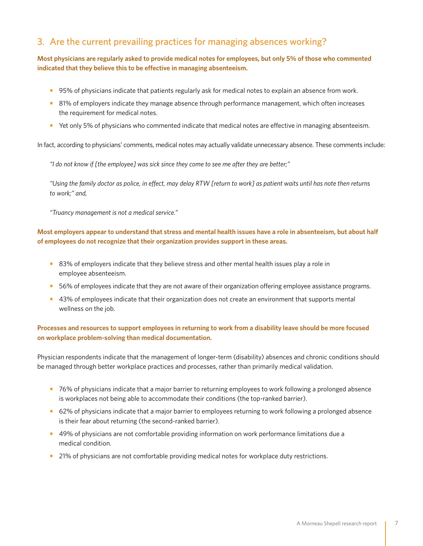# 3. Are the current prevailing practices for managing absences working?

## **Most physicians are regularly asked to provide medical notes for employees, but only 5% of those who commented indicated that they believe this to be effective in managing absenteeism.**

- **•** 95% of physicians indicate that patients regularly ask for medical notes to explain an absence from work.
- **•** 81% of employers indicate they manage absence through performance management, which often increases the requirement for medical notes.
- Yet only 5% of physicians who commented indicate that medical notes are effective in managing absenteeism.

In fact, according to physicians' comments, medical notes may actually validate unnecessary absence. These comments include:

*"I do not know if [the employee] was sick since they come to see me after they are better;"* 

*"Using the family doctor as police, in effect, may delay RTW [return to work] as patient waits until has note then returns to work;" and,* 

*"Truancy management is not a medical service."*

## **Most employers appear to understand that stress and mental health issues have a role in absenteeism, but about half of employees do not recognize that their organization provides support in these areas.**

- **•** 83% of employers indicate that they believe stress and other mental health issues play a role in employee absenteeism.
- **•** 56% of employees indicate that they are not aware of their organization offering employee assistance programs.
- **•** 43% of employees indicate that their organization does not create an environment that supports mental wellness on the job.

## **Processes and resources to support employees in returning to work from a disability leave should be more focused on workplace problem-solving than medical documentation.**

Physician respondents indicate that the management of longer-term (disability) absences and chronic conditions should be managed through better workplace practices and processes, rather than primarily medical validation.

- **•** 76% of physicians indicate that a major barrier to returning employees to work following a prolonged absence is workplaces not being able to accommodate their conditions (the top-ranked barrier).
- **•** 62% of physicians indicate that a major barrier to employees returning to work following a prolonged absence is their fear about returning (the second-ranked barrier).
- **•** 49% of physicians are not comfortable providing information on work performance limitations due a medical condition.
- 21% of physicians are not comfortable providing medical notes for workplace duty restrictions.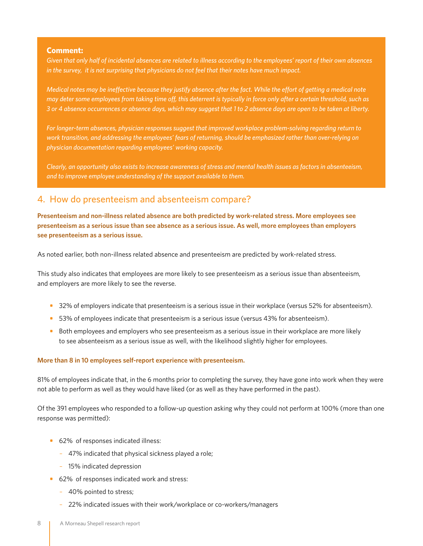### **Comment:**

*Given that only half of incidental absences are related to illness according to the employees' report of their own absences in the survey, it is not surprising that physicians do not feel that their notes have much impact.* 

*Medical notes may be ineffective because they justify absence after the fact. While the effort of getting a medical note may deter some employees from taking time off, this deterrent is typically in force only after a certain threshold, such as 3 or 4 absence occurrences or absence days, which may suggest that 1 to 2 absence days are open to be taken at liberty.*

For longer-term absences, physician responses suggest that improved workplace problem-solving regarding return to *work transition, and addressing the employees' fears of returning, should be emphasized rather than over-relying on physician documentation regarding employees' working capacity.* 

*Clearly, an opportunity also exists to increase awareness of stress and mental health issues as factors in absenteeism, and to improve employee understanding of the support available to them.*

## 4. How do presenteeism and absenteeism compare?

**Presenteeism and non-illness related absence are both predicted by work-related stress. More employees see presenteeism as a serious issue than see absence as a serious issue. As well, more employees than employers see presenteeism as a serious issue.** 

As noted earlier, both non-illness related absence and presenteeism are predicted by work-related stress.

This study also indicates that employees are more likely to see presenteeism as a serious issue than absenteeism, and employers are more likely to see the reverse.

- **•** 32% of employers indicate that presenteeism is a serious issue in their workplace (versus 52% for absenteeism).
- **•** 53% of employees indicate that presenteeism is a serious issue (versus 43% for absenteeism).
- **•** Both employees and employers who see presenteeism as a serious issue in their workplace are more likely to see absenteeism as a serious issue as well, with the likelihood slightly higher for employees.

### **More than 8 in 10 employees self-report experience with presenteeism.**

81% of employees indicate that, in the 6 months prior to completing the survey, they have gone into work when they were not able to perform as well as they would have liked (or as well as they have performed in the past).

Of the 391 employees who responded to a follow-up question asking why they could not perform at 100% (more than one response was permitted):

- **•** 62% of responses indicated illness:
	- 47% indicated that physical sickness played a role;
	- 15% indicated depression
- **•** 62% of responses indicated work and stress:
	- 40% pointed to stress;
	- 22% indicated issues with their work/workplace or co-workers/managers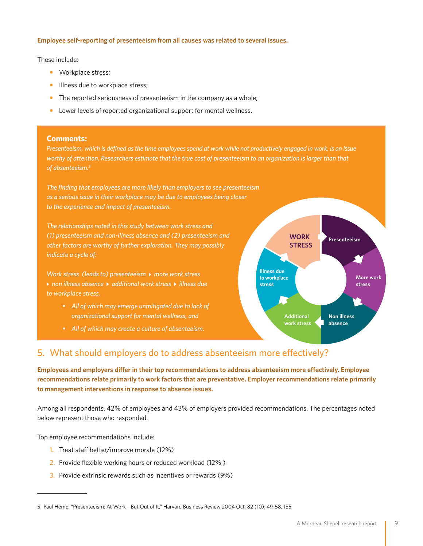### **Employee self-reporting of presenteeism from all causes was related to several issues.**

These include:

- **•** Workplace stress;
- **•** Illness due to workplace stress;
- **•** The reported seriousness of presenteeism in the company as a whole;
- **•** Lower levels of reported organizational support for mental wellness.

### **Comments:**

*Presenteeism, which is defined as the time employees spend at work while not productively engaged in work, is an issue*  worthy of attention. Researchers estimate that the true cost of presenteeism to an organization is larger than that *of absenteeism.5*

*The finding that employees are more likely than employers to see presenteeism as a serious issue in their workplace may be due to employees being closer to the experience and impact of presenteeism.* 

*The relationships noted in this study between work stress and (1) presenteeism and non-illness absence and (2) presenteeism and other factors are worthy of further exploration. They may possibly indicate a cycle of:*

*Work stress (leads to) presenteeism > more work stress* **▶ non illness absence ▶ additional work stress ▶ illness due** *to workplace stress.*

- *• All of which may emerge unmitigated due to lack of organizational support for mental wellness, and*
- *• All of which may create a culture of absenteeism.*



# 5. What should employers do to address absenteeism more effectively?

**Employees and employers differ in their top recommendations to address absenteeism more effectively. Employee recommendations relate primarily to work factors that are preventative. Employer recommendations relate primarily to management interventions in response to absence issues.** 

Among all respondents, 42% of employees and 43% of employers provided recommendations. The percentages noted below represent those who responded.

Top employee recommendations include:

- 1. Treat staff better/improve morale (12%)
- 2. Provide flexible working hours or reduced workload (12% )
- 3. Provide extrinsic rewards such as incentives or rewards (9%)

<sup>5</sup> Paul Hemp, "Presenteeism: At Work – But Out of It," Harvard Business Review 2004 Oct; 82 (10): 49-58, 155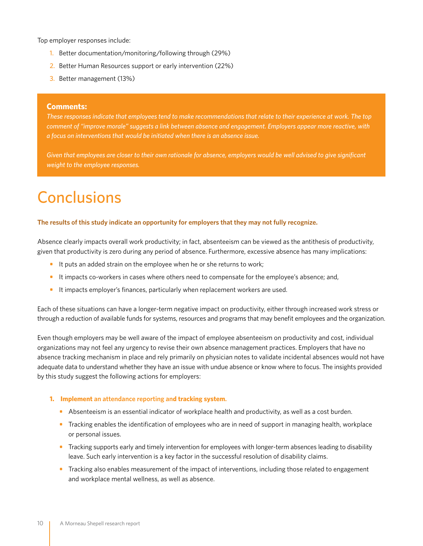<span id="page-9-0"></span>Top employer responses include:

- 1. Better documentation/monitoring/following through (29%)
- 2. Better Human Resources support or early intervention (22%)
- 3. Better management (13%)

#### **Comments:**

*These responses indicate that employees tend to make recommendations that relate to their experience at work. The top comment of "improve morale" suggests a link between absence and engagement. Employers appear more reactive, with a focus on interventions that would be initiated when there is an absence issue.* 

*Given that employees are closer to their own rationale for absence, employers would be well advised to give significant weight to the employee responses.* 

# **Conclusions**

#### **The results of this study indicate an opportunity for employers that they may not fully recognize.**

Absence clearly impacts overall work productivity; in fact, absenteeism can be viewed as the antithesis of productivity, given that productivity is zero during any period of absence. Furthermore, excessive absence has many implications:

- **•** It puts an added strain on the employee when he or she returns to work;
- **•** It impacts co-workers in cases where others need to compensate for the employee's absence; and,
- **•** It impacts employer's finances, particularly when replacement workers are used.

Each of these situations can have a longer-term negative impact on productivity, either through increased work stress or through a reduction of available funds for systems, resources and programs that may benefit employees and the organization.

Even though employers may be well aware of the impact of employee absenteeism on productivity and cost, individual organizations may not feel any urgency to revise their own absence management practices. Employers that have no absence tracking mechanism in place and rely primarily on physician notes to validate incidental absences would not have adequate data to understand whether they have an issue with undue absence or know where to focus. The insights provided by this study suggest the following actions for employers:

#### **1. Implement an attendance reporting and tracking system.**

- **•** Absenteeism is an essential indicator of workplace health and productivity, as well as a cost burden.
- **•** Tracking enables the identification of employees who are in need of support in managing health, workplace or personal issues.
- **•** Tracking supports early and timely intervention for employees with longer-term absences leading to disability leave. Such early intervention is a key factor in the successful resolution of disability claims.
- Tracking also enables measurement of the impact of interventions, including those related to engagement and workplace mental wellness, as well as absence.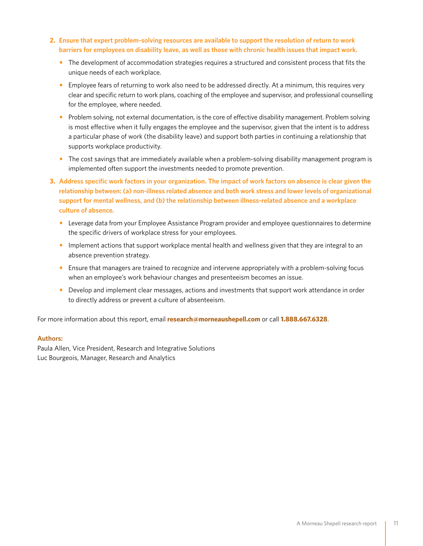- **2. Ensure that expert problem-solving resources are available to support the resolution of return to work barriers for employees on disability leave, as well as those with chronic health issues that impact work.**
	- **•** The development of accommodation strategies requires a structured and consistent process that fits the unique needs of each workplace.
	- Employee fears of returning to work also need to be addressed directly. At a minimum, this requires very clear and specific return to work plans, coaching of the employee and supervisor, and professional counselling for the employee, where needed.
	- Problem solving, not external documentation, is the core of effective disability management. Problem solving is most effective when it fully engages the employee and the supervisor, given that the intent is to address a particular phase of work (the disability leave) and support both parties in continuing a relationship that supports workplace productivity.
	- **•** The cost savings that are immediately available when a problem-solving disability management program is implemented often support the investments needed to promote prevention.
- **3. Address specific work factors in your organization. The impact of work factors on absence is clear given the relationship between: (a) non-illness related absence and both work stress and lower levels of organizational support for mental wellness, and (b) the relationship between illness-related absence and a workplace culture of absence.** 
	- **•** Leverage data from your Employee Assistance Program provider and employee questionnaires to determine the specific drivers of workplace stress for your employees.
	- Implement actions that support workplace mental health and wellness given that they are integral to an absence prevention strategy.
	- Ensure that managers are trained to recognize and intervene appropriately with a problem-solving focus when an employee's work behaviour changes and presenteeism becomes an issue.
	- **•** Develop and implement clear messages, actions and investments that support work attendance in order to directly address or prevent a culture of absenteeism.

For more information about this report, email **research@morneaushepell.com** or call **1.888.667.6328**.

### **Authors:**

Paula Allen, Vice President, Research and Integrative Solutions Luc Bourgeois, Manager, Research and Analytics